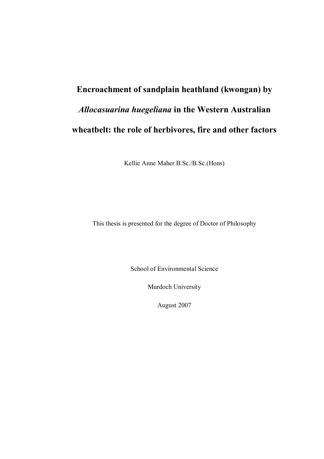# **Encroachment of sandplain heathland (kwongan) by**  *Allocasuarina huegeliana* **in the Western Australian wheatbelt: the role of herbivores, fire and other factors**

Kellie Anne Maher B.Sc./B.Sc.(Hons)

This thesis is presented for the degree of Doctor of Philosophy

School of Environmental Science

Murdoch University

August 2007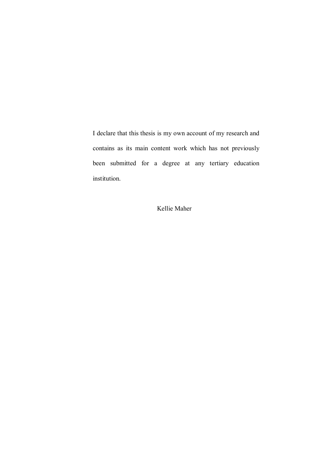I declare that this thesis is my own account of my research and contains as its main content work which has not previously been submitted for a degree at any tertiary education institution.

Kellie Maher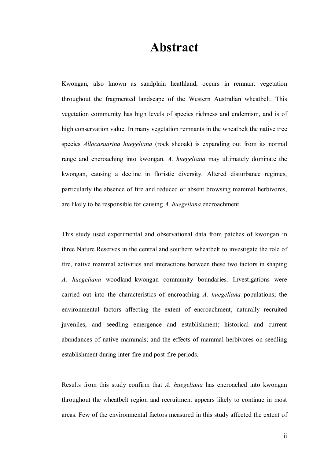### **Abstract**

Kwongan, also known as sandplain heathland, occurs in remnant vegetation throughout the fragmented landscape of the Western Australian wheatbelt. This vegetation community has high levels of species richness and endemism, and is of high conservation value. In many vegetation remnants in the wheatbelt the native tree species *Allocasuarina huegeliana* (rock sheoak) is expanding out from its normal range and encroaching into kwongan. *A. huegeliana* may ultimately dominate the kwongan, causing a decline in floristic diversity. Altered disturbance regimes, particularly the absence of fire and reduced or absent browsing mammal herbivores, are likely to be responsible for causing *A. huegeliana* encroachment.

This study used experimental and observational data from patches of kwongan in three Nature Reserves in the central and southern wheatbelt to investigate the role of fire, native mammal activities and interactions between these two factors in shaping *A. huegeliana* woodland–kwongan community boundaries. Investigations were carried out into the characteristics of encroaching *A. huegeliana* populations; the environmental factors affecting the extent of encroachment, naturally recruited juveniles, and seedling emergence and establishment; historical and current abundances of native mammals; and the effects of mammal herbivores on seedling establishment during inter-fire and post-fire periods.

Results from this study confirm that *A. huegeliana* has encroached into kwongan throughout the wheatbelt region and recruitment appears likely to continue in most areas. Few of the environmental factors measured in this study affected the extent of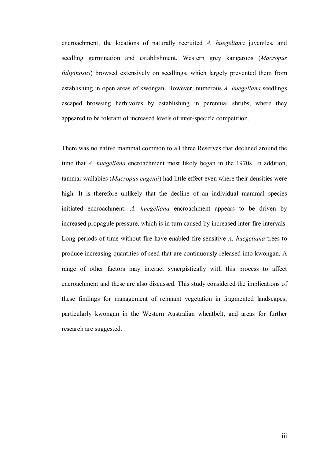encroachment, the locations of naturally recruited *A. huegeliana* juveniles, and seedling germination and establishment. Western grey kangaroos (*Macropus fuliginosus*) browsed extensively on seedlings, which largely prevented them from establishing in open areas of kwongan. However, numerous *A. huegeliana* seedlings escaped browsing herbivores by establishing in perennial shrubs, where they appeared to be tolerant of increased levels of inter-specific competition.

There was no native mammal common to all three Reserves that declined around the time that *A. huegeliana* encroachment most likely began in the 1970s. In addition, tammar wallabies (*Macropus eugenii*) had little effect even where their densities were high. It is therefore unlikely that the decline of an individual mammal species initiated encroachment. *A. huegeliana* encroachment appears to be driven by increased propagule pressure, which is in turn caused by increased inter-fire intervals. Long periods of time without fire have enabled fire-sensitive *A. huegeliana* trees to produce increasing quantities of seed that are continuously released into kwongan. A range of other factors may interact synergistically with this process to affect encroachment and these are also discussed. This study considered the implications of these findings for management of remnant vegetation in fragmented landscapes, particularly kwongan in the Western Australian wheatbelt, and areas for further research are suggested.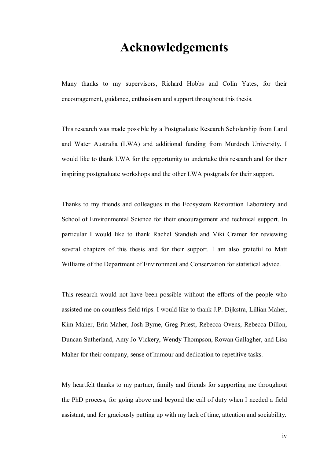### **Acknowledgements**

Many thanks to my supervisors, Richard Hobbs and Colin Yates, for their encouragement, guidance, enthusiasm and support throughout this thesis.

This research was made possible by a Postgraduate Research Scholarship from Land and Water Australia (LWA) and additional funding from Murdoch University. I would like to thank LWA for the opportunity to undertake this research and for their inspiring postgraduate workshops and the other LWA postgrads for their support.

Thanks to my friends and colleagues in the Ecosystem Restoration Laboratory and School of Environmental Science for their encouragement and technical support. In particular I would like to thank Rachel Standish and Viki Cramer for reviewing several chapters of this thesis and for their support. I am also grateful to Matt Williams of the Department of Environment and Conservation for statistical advice.

This research would not have been possible without the efforts of the people who assisted me on countless field trips. I would like to thank J.P. Dijkstra, Lillian Maher, Kim Maher, Erin Maher, Josh Byrne, Greg Priest, Rebecca Ovens, Rebecca Dillon, Duncan Sutherland, Amy Jo Vickery, Wendy Thompson, Rowan Gallagher, and Lisa Maher for their company, sense of humour and dedication to repetitive tasks.

My heartfelt thanks to my partner, family and friends for supporting me throughout the PhD process, for going above and beyond the call of duty when I needed a field assistant, and for graciously putting up with my lack of time, attention and sociability.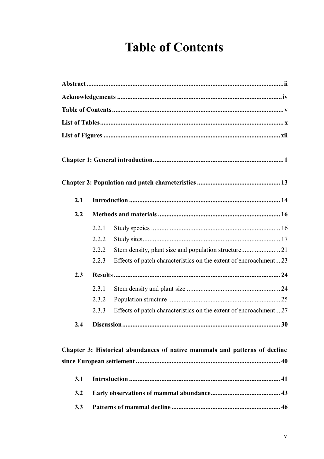# **Table of Contents**

| 2.1 |       |                                                                  |  |
|-----|-------|------------------------------------------------------------------|--|
|     |       |                                                                  |  |
| 2.2 |       |                                                                  |  |
|     | 2.2.1 |                                                                  |  |
|     | 2.2.2 |                                                                  |  |
|     | 2.2.2 |                                                                  |  |
|     | 2.2.3 | Effects of patch characteristics on the extent of encroachment23 |  |
| 2.3 |       |                                                                  |  |
|     | 2.3.1 |                                                                  |  |
|     | 2.3.2 |                                                                  |  |
|     | 2.3.3 | Effects of patch characteristics on the extent of encroachment27 |  |
| 2.4 |       |                                                                  |  |

#### Chapter 3: Historical abundances of native mammals and patterns of decline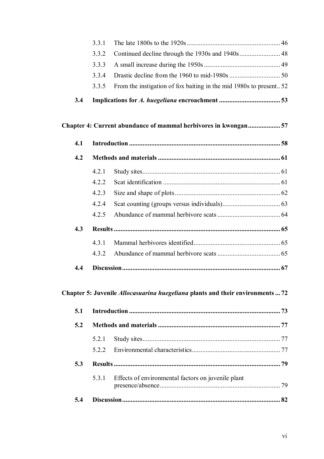|     | 3.3.1 |                                                                   |  |
|-----|-------|-------------------------------------------------------------------|--|
|     | 3.3.2 |                                                                   |  |
|     | 3.3.3 |                                                                   |  |
|     | 3.3.4 |                                                                   |  |
|     | 3.3.5 | From the instigation of fox baiting in the mid 1980s to present52 |  |
| 3.4 |       |                                                                   |  |
|     |       | Chapter 4: Current abundance of mammal herbivores in kwongan57    |  |
| 4.1 |       |                                                                   |  |
| 4.2 |       |                                                                   |  |
|     | 4.2.1 |                                                                   |  |
|     | 4.2.2 |                                                                   |  |
|     | 4.2.3 |                                                                   |  |
|     | 4.2.4 |                                                                   |  |
|     | 4.2.5 |                                                                   |  |
| 4.3 |       |                                                                   |  |
|     | 4.3.1 |                                                                   |  |
|     | 4.3.2 |                                                                   |  |
| 4.4 |       |                                                                   |  |

#### **Chapter 5: Juvenile** *Allocasuarina huegeliana* **plants and their environments ... 72**

| 5.1 |       |                                                    |  |
|-----|-------|----------------------------------------------------|--|
| 5.2 |       |                                                    |  |
|     | 5.2.1 |                                                    |  |
|     |       |                                                    |  |
| 5.3 |       |                                                    |  |
|     | 531   | Effects of environmental factors on juvenile plant |  |
|     |       |                                                    |  |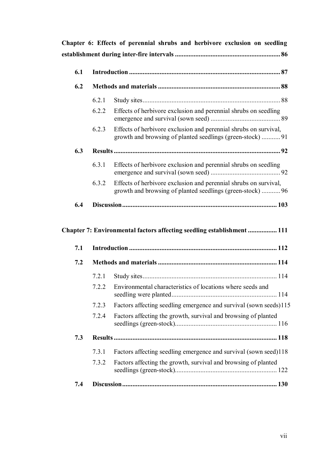| 6.1 |       |                                                                                                                                |
|-----|-------|--------------------------------------------------------------------------------------------------------------------------------|
| 6.2 |       |                                                                                                                                |
|     | 6.2.1 |                                                                                                                                |
|     | 6.2.2 | Effects of herbivore exclusion and perennial shrubs on seedling                                                                |
|     | 6.2.3 | Effects of herbivore exclusion and perennial shrubs on survival,<br>growth and browsing of planted seedlings (green-stock)  91 |
| 6.3 |       |                                                                                                                                |
|     | 6.3.1 | Effects of herbivore exclusion and perennial shrubs on seedling                                                                |
|     | 6.3.2 | Effects of herbivore exclusion and perennial shrubs on survival,<br>growth and browsing of planted seedlings (green-stock)  96 |
|     |       |                                                                                                                                |
| 6.4 |       |                                                                                                                                |
| 7.1 |       | Chapter 7: Environmental factors affecting seedling establishment  111                                                         |
| 7.2 |       |                                                                                                                                |
|     | 7.2.1 |                                                                                                                                |
|     | 7.2.2 | Environmental characteristics of locations where seeds and                                                                     |
|     | 7.2.3 | Factors affecting seedling emergence and survival (sown seeds)115                                                              |
|     | 7.2.4 | Factors affecting the growth, survival and browsing of planted                                                                 |
| 7.3 |       |                                                                                                                                |
|     | 7.3.1 | Factors affecting seedling emergence and survival (sown seed)118                                                               |

**7.4 Discussion........................................................................................... 130**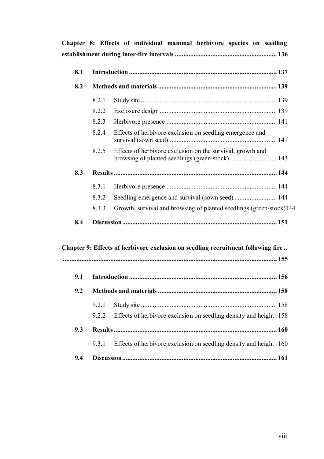|     |       | Chapter 8: Effects of individual mammal herbivore species on seedling            |  |
|-----|-------|----------------------------------------------------------------------------------|--|
|     |       |                                                                                  |  |
| 8.1 |       |                                                                                  |  |
| 8.2 |       |                                                                                  |  |
|     | 8.2.1 |                                                                                  |  |
|     | 8.2.2 |                                                                                  |  |
|     | 8.2.3 |                                                                                  |  |
|     | 8.2.4 | Effects of herbivore exclusion on seedling emergence and                         |  |
|     | 8.2.5 | Effects of herbivore exclusion on the survival, growth and                       |  |
| 8.3 |       |                                                                                  |  |
|     | 8.3.1 |                                                                                  |  |
|     | 8.3.2 |                                                                                  |  |
|     | 8.3.3 | Growth, survival and browsing of planted seedlings (green-stock)144              |  |
| 8.4 |       |                                                                                  |  |
|     |       | Chapter 9: Effects of herbivore exclusion on seedling recruitment following fire |  |
| 9.1 |       |                                                                                  |  |
| 9.2 |       |                                                                                  |  |
|     | 9.2.1 |                                                                                  |  |
|     | 9.2.2 | Effects of herbivore exclusion on seedling density and height. 158               |  |
| 9.3 |       |                                                                                  |  |
|     | 9.3.1 | Effects of herbivore exclusion on seedling density and height. 160               |  |
| 9.4 |       |                                                                                  |  |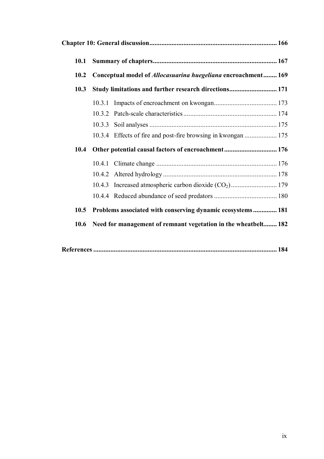| 10.1 |                                                                |                                                                      |  |
|------|----------------------------------------------------------------|----------------------------------------------------------------------|--|
| 10.2 |                                                                | Conceptual model of <i>Allocasuarina huegeliana</i> encroachment 169 |  |
| 10.3 |                                                                | Study limitations and further research directions 171                |  |
|      | 10.3.1                                                         |                                                                      |  |
|      |                                                                |                                                                      |  |
|      |                                                                |                                                                      |  |
|      |                                                                | 10.3.4 Effects of fire and post-fire browsing in kwongan  175        |  |
| 10.4 |                                                                | Other potential causal factors of encroachment 176                   |  |
|      | 10.4.1                                                         |                                                                      |  |
|      |                                                                |                                                                      |  |
|      |                                                                |                                                                      |  |
|      |                                                                |                                                                      |  |
| 10.5 |                                                                | Problems associated with conserving dynamic ecosystems 181           |  |
| 10.6 | Need for management of remnant vegetation in the wheatbelt 182 |                                                                      |  |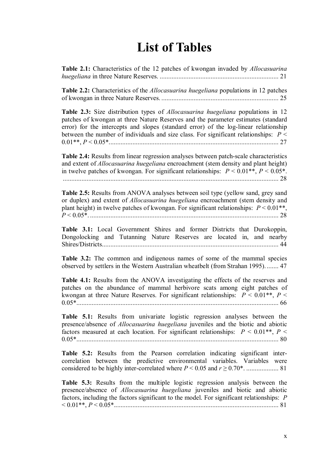### **List of Tables**

| Table 2.1: Characteristics of the 12 patches of kwongan invaded by <i>Allocasuarina</i> |  |
|-----------------------------------------------------------------------------------------|--|
|                                                                                         |  |

**Table 2.2:** Characteristics of the *Allocasuarina huegeliana* populations in 12 patches of kwongan in three Nature Reserves. ..................................................................... 25

**Table 2.3:** Size distribution types of *Allocasuarina huegeliana* populations in 12 patches of kwongan at three Nature Reserves and the parameter estimates (standard error) for the intercepts and slopes (standard error) of the log-linear relationship between the number of individuals and size class. For significant relationships: *P* < 0.01\*\*, *P* < 0.05\*.................................................................................................... 27

**Table 2.4:** Results from linear regression analyses between patch-scale characteristics and extent of *Allocasuarina huegeliana* encroachment (stem density and plant height) in twelve patches of kwongan. For significant relationships:  $P \le 0.01**$ ,  $P \le 0.05*$ . ............................................................................................................................... 28

**Table 2.5:** Results from ANOVA analyses between soil type (yellow sand, grey sand or duplex) and extent of *Allocasuarina huegeliana* encroachment (stem density and plant height) in twelve patches of kwongan. For significant relationships:  $P \le 0.01$ <sup>\*\*</sup>, *P* < 0.05\*. ............................................................................................................... 28

**Table 3.1:** Local Government Shires and former Districts that Durokoppin, Dongolocking and Tutanning Nature Reserves are located in, and nearby Shires/Districts........................................................................................................ 44

**Table 3.2:** The common and indigenous names of some of the mammal species observed by settlers in the Western Australian wheatbelt (from Strahan 1995). ....... 47

**Table 4.1:** Results from the ANOVA investigating the effects of the reserves and patches on the abundance of mammal herbivore scats among eight patches of kwongan at three Nature Reserves. For significant relationships:  $P \le 0.01**$ ,  $P \le$ 0.05\*....................................................................................................................... 66

**Table 5.1:** Results from univariate logistic regression analyses between the presence/absence of *Allocasuarina huegeliana* juveniles and the biotic and abiotic factors measured at each location. For significant relationships:  $P \le 0.01**$ ,  $P \le$ 0.05\*....................................................................................................................... 80

**Table 5.2:** Results from the Pearson correlation indicating significant intercorrelation between the predictive environmental variables. Variables were considered to be highly inter-correlated where *P* < 0.05 and *r* ≥ 0.70\*. ................... 81

**Table 5.3:** Results from the multiple logistic regression analysis between the presence/absence of *Allocasuarina huegeliana* juveniles and biotic and abiotic factors, including the factors significant to the model. For significant relationships: *P* < 0.01\*\*, *P* < 0.05\*................................................................................................. 81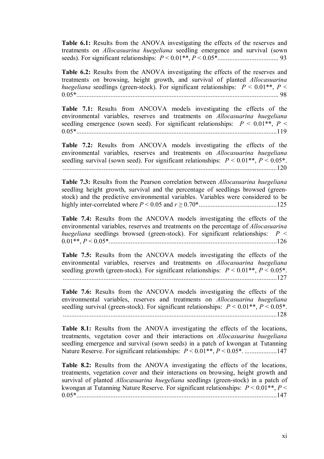**Table 6.1:** Results from the ANOVA investigating the effects of the reserves and treatments on *Allocasuarina huegeliana* seedling emergence and survival (sown seeds). For significant relationships: *P* < 0.01\*\*, *P* < 0.05\*.................................... 93

**Table 6.2:** Results from the ANOVA investigating the effects of the reserves and treatments on browsing, height growth, and survival of planted *Allocasuarina huegeliana* seedlings (green-stock). For significant relationships:  $P \le 0.01**$ ,  $P \le$ 0.05\*....................................................................................................................... 98

**Table 7.1:** Results from ANCOVA models investigating the effects of the environmental variables, reserves and treatments on *Allocasuarina huegeliana* seedling emergence (sown seed). For significant relationships:  $P \le 0.01**$ ,  $P \le$ 0.05\*......................................................................................................................119

**Table 7.2:** Results from ANCOVA models investigating the effects of the environmental variables, reserves and treatments on *Allocasuarina huegeliana* seedling survival (sown seed). For significant relationships:  $P \le 0.01^{**}$ ,  $P \le 0.05^*$ . ..............................................................................................................................120

**Table 7.3:** Results from the Pearson correlation between *Allocasuarina huegeliana* seedling height growth, survival and the percentage of seedlings browsed (greenstock) and the predictive environmental variables. Variables were considered to be highly inter-correlated where *P* < 0.05 and *r* ≥ 0.70\*..............................................125

**Table 7.4:** Results from the ANCOVA models investigating the effects of the environmental variables, reserves and treatments on the percentage of *Allocasuarina huegeliana* seedlings browsed (green-stock). For significant relationships:  $P \leq$ 0.01\*\*, *P* < 0.05\*...................................................................................................126

**Table 7.5:** Results from the ANCOVA models investigating the effects of the environmental variables, reserves and treatments on *Allocasuarina huegeliana* seedling growth (green-stock). For significant relationships:  $P \le 0.01^{**}$ ,  $P \le 0.05^*$ . ..............................................................................................................................127

**Table 7.6:** Results from the ANCOVA models investigating the effects of the environmental variables, reserves and treatments on *Allocasuarina huegeliana* seedling survival (green-stock). For significant relationships:  $P \le 0.01**$ ,  $P \le 0.05*$ . ..............................................................................................................................128

**Table 8.1:** Results from the ANOVA investigating the effects of the locations, treatments, vegetation cover and their interactions on *Allocasuarina huegeliana* seedling emergence and survival (sown seeds) in a patch of kwongan at Tutanning Nature Reserve. For significant relationships: *P* < 0.01\*\*, *P* < 0.05\*. ...................147

**Table 8.2:** Results from the ANOVA investigating the effects of the locations, treatments, vegetation cover and their interactions on browsing, height growth and survival of planted *Allocasuarina huegeliana* seedlings (green-stock) in a patch of kwongan at Tutanning Nature Reserve. For significant relationships: *P* < 0.01\*\*, *P* < 0.05\*......................................................................................................................147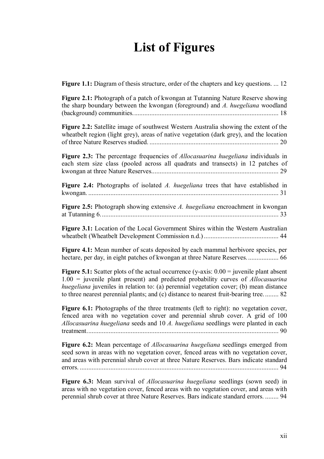## **List of Figures**

**Figure 1.1:** Diagram of thesis structure, order of the chapters and key questions. ... 12

**Figure 2.1:** Photograph of a patch of kwongan at Tutanning Nature Reserve showing the sharp boundary between the kwongan (foreground) and *A. huegeliana* woodland (background) communities...................................................................................... 18

**Figure 2.2:** Satellite image of southwest Western Australia showing the extent of the wheatbelt region (light grey), areas of native vegetation (dark grey), and the location of three Nature Reserves studied. ............................................................................ 20

**Figure 2.3:** The percentage frequencies of *Allocasuarina huegeliana* individuals in each stem size class (pooled across all quadrats and transects) in 12 patches of kwongan at three Nature Reserves........................................................................... 29

**Figure 2.4:** Photographs of isolated *A. huegeliana* trees that have established in kwongan. ................................................................................................................ 31

**Figure 2.5:** Photograph showing extensive *A. huegeliana* encroachment in kwongan at Tutanning 6......................................................................................................... 33

**Figure 3.1:** Location of the Local Government Shires within the Western Australian wheatbelt (Wheatbelt Development Commission n.d.) ............................................ 44

**Figure 4.1:** Mean number of scats deposited by each mammal herbivore species, per hectare, per day, in eight patches of kwongan at three Nature Reserves................... 66

**Figure 5.1:** Scatter plots of the actual occurrence (y-axis:  $0.00 =$  juvenile plant absent 1.00 = juvenile plant present) and predicted probability curves of *Allocasuarina huegeliana* juveniles in relation to: (a) perennial vegetation cover; (b) mean distance to three nearest perennial plants; and (c) distance to nearest fruit-bearing tree. ........ 82

Figure 6.1: Photographs of the three treatments (left to right): no vegetation cover, fenced area with no vegetation cover and perennial shrub cover. A grid of 100 *Allocasuarina huegeliana* seeds and 10 *A. huegeliana* seedlings were planted in each treatment................................................................................................................. 90

**Figure 6.2:** Mean percentage of *Allocasuarina huegeliana* seedlings emerged from seed sown in areas with no vegetation cover, fenced areas with no vegetation cover, and areas with perennial shrub cover at three Nature Reserves. Bars indicate standard errors. ..................................................................................................................... 94

**Figure 6.3:** Mean survival of *Allocasuarina huegeliana* seedlings (sown seed) in areas with no vegetation cover, fenced areas with no vegetation cover, and areas with perennial shrub cover at three Nature Reserves. Bars indicate standard errors. ........ 94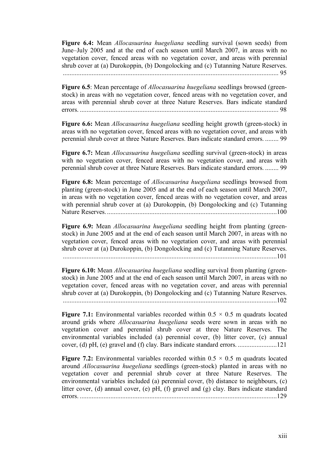**Figure 6.4:** Mean *Allocasuarina huegeliana* seedling survival (sown seeds) from June–July 2005 and at the end of each season until March 2007, in areas with no vegetation cover, fenced areas with no vegetation cover, and areas with perennial shrub cover at (a) Durokoppin, (b) Dongolocking and (c) Tutanning Nature Reserves. ............................................................................................................................... 95

**Figure 6.5**: Mean percentage of *Allocasuarina huegeliana* seedlings browsed (greenstock) in areas with no vegetation cover, fenced areas with no vegetation cover, and areas with perennial shrub cover at three Nature Reserves. Bars indicate standard errors. ..................................................................................................................... 98

**Figure 6.6:** Mean *Allocasuarina huegeliana* seedling height growth (green-stock) in areas with no vegetation cover, fenced areas with no vegetation cover, and areas with perennial shrub cover at three Nature Reserves. Bars indicate standard errors. ........ 99

**Figure 6.7:** Mean *Allocasuarina huegeliana* seedling survival (green-stock) in areas with no vegetation cover, fenced areas with no vegetation cover, and areas with perennial shrub cover at three Nature Reserves. Bars indicate standard errors. ........ 99

**Figure 6.8:** Mean percentage of *Allocasuarina huegeliana* seedlings browsed from planting (green-stock) in June 2005 and at the end of each season until March 2007, in areas with no vegetation cover, fenced areas with no vegetation cover, and areas with perennial shrub cover at (a) Durokoppin, (b) Dongolocking and (c) Tutanning Nature Reserves. ....................................................................................................100

**Figure 6.9:** Mean *Allocasuarina huegeliana* seedling height from planting (greenstock) in June 2005 and at the end of each season until March 2007, in areas with no vegetation cover, fenced areas with no vegetation cover, and areas with perennial shrub cover at (a) Durokoppin, (b) Dongolocking and (c) Tutanning Nature Reserves. ..............................................................................................................................101

**Figure 6.10:** Mean *Allocasuarina huegeliana* seedling survival from planting (greenstock) in June 2005 and at the end of each season until March 2007, in areas with no vegetation cover, fenced areas with no vegetation cover, and areas with perennial shrub cover at (a) Durokoppin, (b) Dongolocking and (c) Tutanning Nature Reserves. ..............................................................................................................................102

**Figure 7.1:** Environmental variables recorded within  $0.5 \times 0.5$  m quadrats located around grids where *Allocasuarina huegeliana* seeds were sown in areas with no vegetation cover and perennial shrub cover at three Nature Reserves. The environmental variables included (a) perennial cover, (b) litter cover, (c) annual cover, (d) pH, (e) gravel and (f) clay. Bars indicate standard errors. .......................121

**Figure 7.2:** Environmental variables recorded within  $0.5 \times 0.5$  m quadrats located around *Allocasuarina huegeliana* seedlings (green-stock) planted in areas with no vegetation cover and perennial shrub cover at three Nature Reserves. The environmental variables included (a) perennial cover, (b) distance to neighbours, (c) litter cover, (d) annual cover, (e) pH, (f) gravel and (g) clay. Bars indicate standard errors. ....................................................................................................................129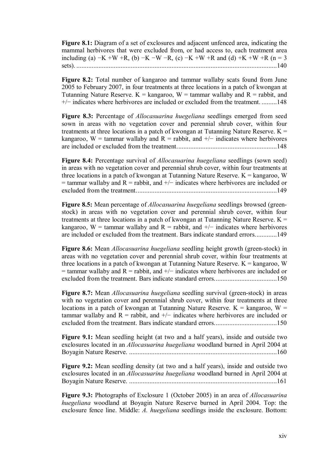**Figure 8.1:** Diagram of a set of exclosures and adjacent unfenced area, indicating the mammal herbivores that were excluded from, or had access to, each treatment area including (a)  $-K + W + R$ , (b)  $-K - W - R$ , (c)  $-K + W + R$  and (d)  $+K + W + R$  (n = 3 sets). ......................................................................................................................140

**Figure 8.2:** Total number of kangaroo and tammar wallaby scats found from June 2005 to February 2007, in four treatments at three locations in a patch of kwongan at Tutanning Nature Reserve.  $K =$  kangaroo,  $W =$  tammar wallaby and  $R =$  rabbit, and +/− indicates where herbivores are included or excluded from the treatment. .........148

**Figure 8.3:** Percentage of *Allocasuarina huegeliana* seedlings emerged from seed sown in areas with no vegetation cover and perennial shrub cover, within four treatments at three locations in a patch of kwongan at Tutanning Nature Reserve.  $K =$ kangaroo, W = tammar wallaby and R = rabbit, and  $+/-$  indicates where herbivores are included or excluded from the treatment...........................................................148

**Figure 8.4:** Percentage survival of *Allocasuarina huegeliana* seedlings (sown seed) in areas with no vegetation cover and perennial shrub cover, within four treatments at three locations in a patch of kwongan at Tutanning Nature Reserve.  $K =$  kangaroo, W  $=$  tammar wallaby and R = rabbit, and  $+/-$  indicates where herbivores are included or excluded from the treatment...................................................................................149

**Figure 8.5:** Mean percentage of *Allocasuarina huegeliana* seedlings browsed (greenstock) in areas with no vegetation cover and perennial shrub cover, within four treatments at three locations in a patch of kwongan at Tutanning Nature Reserve.  $K =$ kangaroo, W = tammar wallaby and R = rabbit, and  $+/-$  indicates where herbivores are included or excluded from the treatment. Bars indicate standard errors.............149

**Figure 8.6:** Mean *Allocasuarina huegeliana* seedling height growth (green-stock) in areas with no vegetation cover and perennial shrub cover, within four treatments at three locations in a patch of kwongan at Tutanning Nature Reserve.  $K =$  kangaroo, W  $=$  tammar wallaby and R = rabbit, and  $+/-$  indicates where herbivores are included or excluded from the treatment. Bars indicate standard errors.....................................150

**Figure 8.7:** Mean *Allocasuarina huegeliana* seedling survival (green-stock) in areas with no vegetation cover and perennial shrub cover, within four treatments at three locations in a patch of kwongan at Tutanning Nature Reserve.  $K =$  kangaroo,  $W =$ tammar wallaby and  $R =$  rabbit, and  $+/-$  indicates where herbivores are included or excluded from the treatment. Bars indicate standard errors.....................................150

**Figure 9.1:** Mean seedling height (at two and a half years), inside and outside two exclosures located in an *Allocasuarina huegeliana* woodland burned in April 2004 at Boyagin Nature Reserve. .......................................................................................160

**Figure 9.2:** Mean seedling density (at two and a half years), inside and outside two exclosures located in an *Allocasuarina huegeliana* woodland burned in April 2004 at Boyagin Nature Reserve. .......................................................................................161

**Figure 9.3:** Photographs of Exclosure 1 (October 2005) in an area of *Allocasuarina huegeliana* woodland at Boyagin Nature Reserve burned in April 2004. Top: the exclosure fence line. Middle: *A. huegeliana* seedlings inside the exclosure. Bottom: